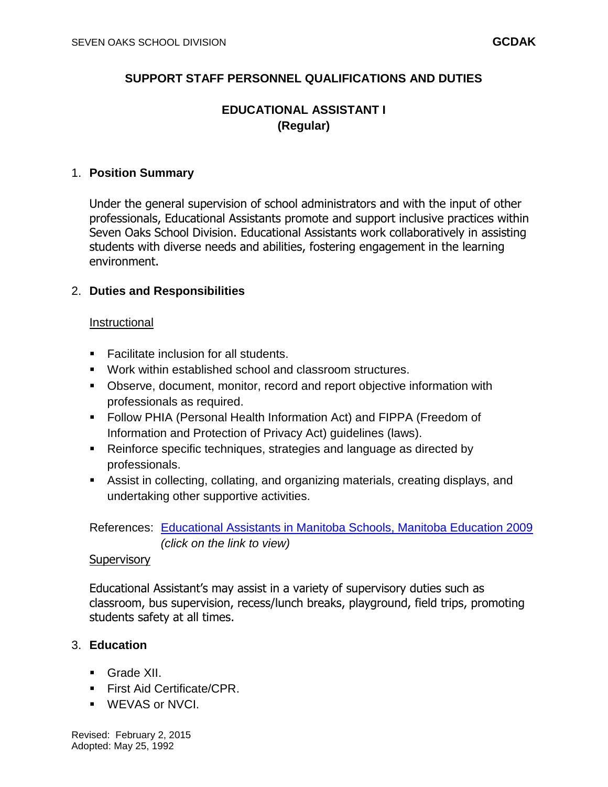# **SUPPORT STAFF PERSONNEL QUALIFICATIONS AND DUTIES**

# **EDUCATIONAL ASSISTANT I (Regular)**

#### 1. **Position Summary**

Under the general supervision of school administrators and with the input of other professionals, Educational Assistants promote and support inclusive practices within Seven Oaks School Division. Educational Assistants work collaboratively in assisting students with diverse needs and abilities, fostering engagement in the learning environment.

## 2. **Duties and Responsibilities**

#### Instructional

- Facilitate inclusion for all students.
- Work within established school and classroom structures.
- Observe, document, monitor, record and report objective information with professionals as required.
- Follow PHIA (Personal Health Information Act) and FIPPA (Freedom of Information and Protection of Privacy Act) guidelines (laws).
- Reinforce specific techniques, strategies and language as directed by professionals.
- Assist in collecting, collating, and organizing materials, creating displays, and undertaking other supportive activities.

## References: [Educational Assistants in Manitoba Schools, Manitoba Education 2009](http://www.edu.gov.mb.ca/k12/docs/support/ed_assistants/) *(click on the link to view)*

#### **Supervisory**

Educational Assistant's may assist in a variety of supervisory duties such as classroom, bus supervision, recess/lunch breaks, playground, field trips, promoting students safety at all times.

## 3. **Education**

- Grade XII.
- **First Aid Certificate/CPR.**
- WEVAS or NVCI.

Revised: February 2, 2015 Adopted: May 25, 1992